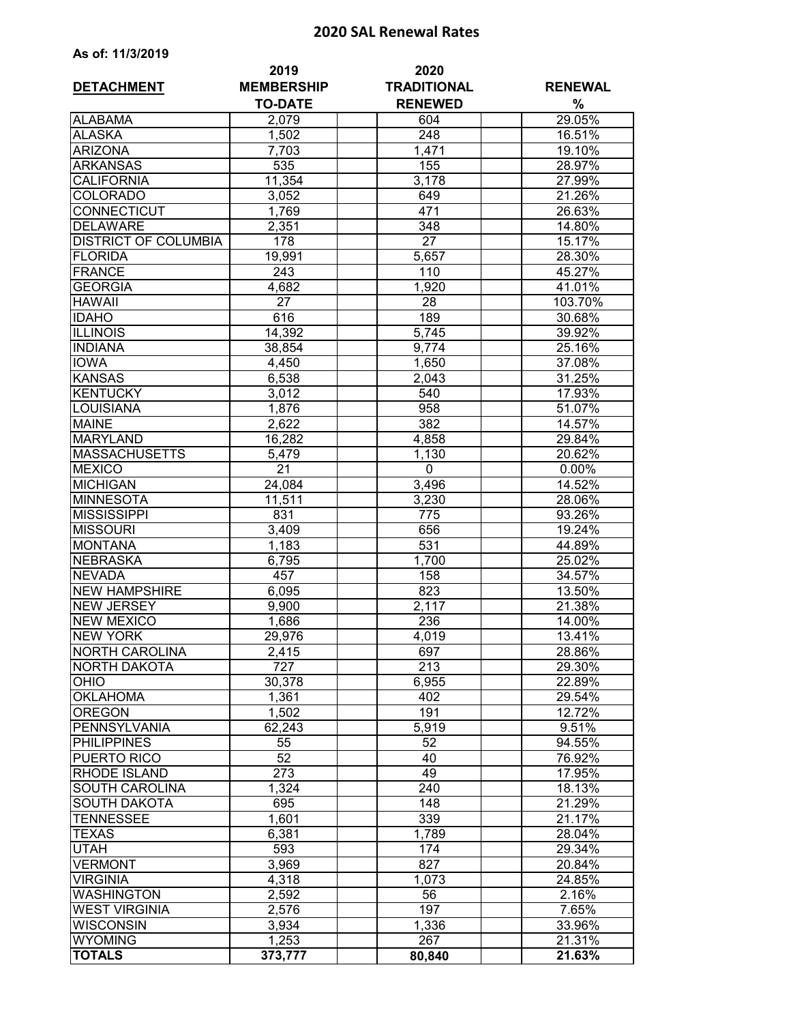## **2020 SAL Renewal Rates**

| As of: 11/3/2019 |  |  |  |
|------------------|--|--|--|
|------------------|--|--|--|

| <b>DETACHMENT</b>              | 2019<br><b>MEMBERSHIP</b> | 2020<br><b>TRADITIONAL</b> | <b>RENEWAL</b>   |  |
|--------------------------------|---------------------------|----------------------------|------------------|--|
|                                | <b>TO-DATE</b>            | <b>RENEWED</b>             | %                |  |
| <b>ALABAMA</b>                 | 2,079                     | 604                        | 29.05%           |  |
| <b>ALASKA</b>                  | 1,502                     | 248                        | 16.51%           |  |
| <b>ARIZONA</b>                 | 7,703                     | 1,471                      | 19.10%           |  |
| <b>ARKANSAS</b>                | 535                       | 155                        | 28.97%           |  |
| <b>CALIFORNIA</b>              | 11,354                    | 3,178                      | 27.99%           |  |
| <b>COLORADO</b>                | 3,052                     | 649                        | 21.26%           |  |
| <b>CONNECTICUT</b>             | 1,769                     | 471                        | 26.63%           |  |
| <b>DELAWARE</b>                | 2,351                     | 348                        | 14.80%           |  |
| <b>DISTRICT OF COLUMBIA</b>    | 178                       | $\overline{27}$            | 15.17%           |  |
| <b>FLORIDA</b>                 | 19,991                    | 5,657                      | 28.30%           |  |
| <b>FRANCE</b>                  | 243                       | 110                        | 45.27%           |  |
| <b>GEORGIA</b>                 | 4,682                     | 1,920                      | $41.01\%$        |  |
| <b>HAWAII</b>                  | 27                        | 28                         | 103.70%          |  |
| <b>IDAHO</b>                   | 616                       | 189                        | 30.68%           |  |
| <b>ILLINOIS</b>                | 14,392                    | 5,745                      | 39.92%           |  |
| <b>INDIANA</b>                 | 38,854                    | 9,774                      | 25.16%           |  |
| <b>IOWA</b>                    | 4,450                     | 1,650                      | 37.08%           |  |
| <b>KANSAS</b>                  | 6,538                     | 2,043                      | 31.25%           |  |
| <b>KENTUCKY</b>                | 3,012                     | 540                        | 17.93%           |  |
| <b>LOUISIANA</b>               | 1,876                     | 958                        | 51.07%           |  |
| <b>MAINE</b>                   | 2,622                     | 382                        | 14.57%           |  |
| <b>MARYLAND</b>                | 16,282                    | 4,858                      | 29.84%           |  |
| <b>MASSACHUSETTS</b>           | 5,479                     | 1,130                      | 20.62%           |  |
| <b>MEXICO</b>                  | $\overline{21}$           | 0                          | 0.00%            |  |
| <b>MICHIGAN</b>                | 24,084                    | 3,496                      | 14.52%           |  |
| <b>MINNESOTA</b>               | 11,511                    | 3,230                      | 28.06%           |  |
| <b>MISSISSIPPI</b>             | 831                       | 775                        | 93.26%           |  |
| <b>MISSOURI</b>                | 3,409                     | 656                        | 19.24%           |  |
| <b>MONTANA</b>                 | 1,183                     | 531                        | 44.89%           |  |
| <b>NEBRASKA</b>                | 6,795                     | 1,700                      | 25.02%           |  |
| <b>NEVADA</b>                  | 457                       | 158                        | 34.57%           |  |
| <b>NEW HAMPSHIRE</b>           | 6,095                     | 823                        | 13.50%           |  |
| <b>NEW JERSEY</b>              | 9,900                     | 2,117                      | 21.38%           |  |
| <b>NEW MEXICO</b>              | 1,686                     | 236                        | 14.00%           |  |
| <b>NEW YORK</b>                | 29,976                    | 4,019                      | 13.41%           |  |
| <b>NORTH CAROLINA</b>          | 2,415                     | 697                        | 28.86%           |  |
| <b>NORTH DAKOTA</b>            | 727                       | 213                        | 29.30%           |  |
| <b>OHIO</b><br><b>OKLAHOMA</b> | 30,378                    | 6,955                      | 22.89%           |  |
| <b>OREGON</b>                  | 1,361<br>1,502            | 402<br>191                 | 29.54%<br>12.72% |  |
| PENNSYLVANIA                   | 62,243                    | 5,919                      | 9.51%            |  |
| <b>PHILIPPINES</b>             | 55                        | 52                         | 94.55%           |  |
| PUERTO RICO                    | 52                        | 40                         | 76.92%           |  |
| <b>RHODE ISLAND</b>            | 273                       | 49                         | 17.95%           |  |
| SOUTH CAROLINA                 | 1,324                     | 240                        | 18.13%           |  |
| <b>SOUTH DAKOTA</b>            | 695                       | 148                        | 21.29%           |  |
| <b>TENNESSEE</b>               | 1,601                     | 339                        | 21.17%           |  |
| <b>TEXAS</b>                   | 6,381                     | 1,789                      | 28.04%           |  |
| <b>UTAH</b>                    | 593                       | 174                        | 29.34%           |  |
| <b>VERMONT</b>                 | 3,969                     | 827                        | 20.84%           |  |
| <b>VIRGINIA</b>                | 4,318                     | 1,073                      | 24.85%           |  |
| <b>WASHINGTON</b>              | 2,592                     | 56                         | $2.16\%$         |  |
| <b>WEST VIRGINIA</b>           | 2,576                     | 197                        | 7.65%            |  |
| <b>WISCONSIN</b>               | 3,934                     | 1,336                      | 33.96%           |  |
| <b>WYOMING</b>                 | 1,253                     | 267                        | 21.31%           |  |
| <b>TOTALS</b>                  | 373,777                   | 80,840                     | 21.63%           |  |